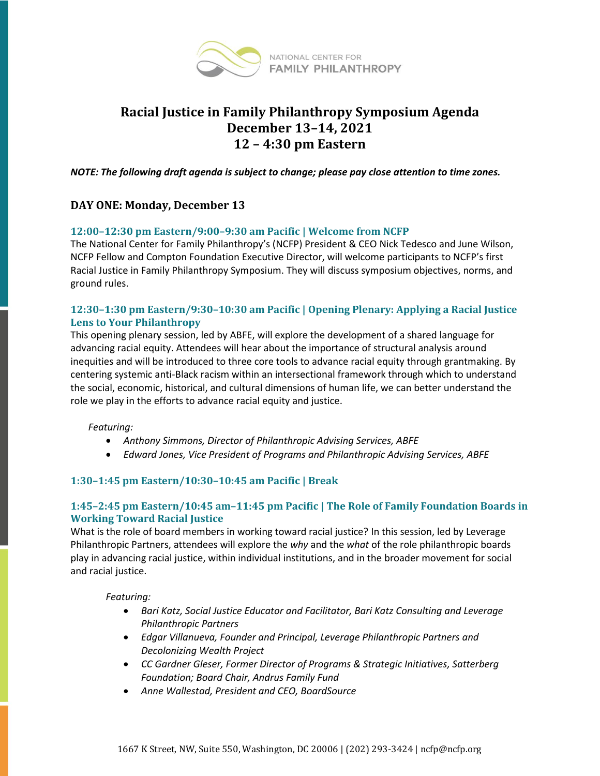

# **Racial Justice in Family Philanthropy Symposium Agenda December 13–14, 2021 12 – 4:30 pm Eastern**

*NOTE: The following draft agenda is subject to change; please pay close attention to time zones.*

# **DAY ONE: Monday, December 13**

#### **12:00–12:30 pm Eastern/9:00–9:30 am Pacific | Welcome from NCFP**

The National Center for Family Philanthropy's (NCFP) President & CEO Nick Tedesco and June Wilson, NCFP Fellow and Compton Foundation Executive Director, will welcome participants to NCFP's first Racial Justice in Family Philanthropy Symposium. They will discuss symposium objectives, norms, and ground rules.

## **12:30–1:30 pm Eastern/9:30–10:30 am Pacific | Opening Plenary: Applying a Racial Justice Lens to Your Philanthropy**

This opening plenary session, led by ABFE, will explore the development of a shared language for advancing racial equity. Attendees will hear about the importance of structural analysis around inequities and will be introduced to three core tools to advance racial equity through grantmaking. By centering systemic anti-Black racism within an intersectional framework through which to understand the social, economic, historical, and cultural dimensions of human life, we can better understand the role we play in the efforts to advance racial equity and justice.

#### *Featuring:*

- *Anthony Simmons, Director of Philanthropic Advising Services, ABFE*
- *Edward Jones, Vice President of Programs and Philanthropic Advising Services, ABFE*

## **1:30–1:45 pm Eastern/10:30–10:45 am Pacific | Break**

#### **1:45–2:45 pm Eastern/10:45 am–11:45 pm Pacific | The Role of Family Foundation Boards in Working Toward Racial Justice**

What is the role of board members in working toward racial justice? In this session, led by Leverage Philanthropic Partners, attendees will explore the *why* and the *what* of the role philanthropic boards play in advancing racial justice, within individual institutions, and in the broader movement for social and racial justice.

#### *Featuring:*

- *Bari Katz, Social Justice Educator and Facilitator, Bari Katz Consulting and Leverage Philanthropic Partners*
- *Edgar Villanueva, Founder and Principal, Leverage Philanthropic Partners and Decolonizing Wealth Project*
- *CC Gardner Gleser, Former Director of Programs & Strategic Initiatives, Satterberg Foundation; Board Chair, Andrus Family Fund*
- *Anne Wallestad, President and CEO, BoardSource*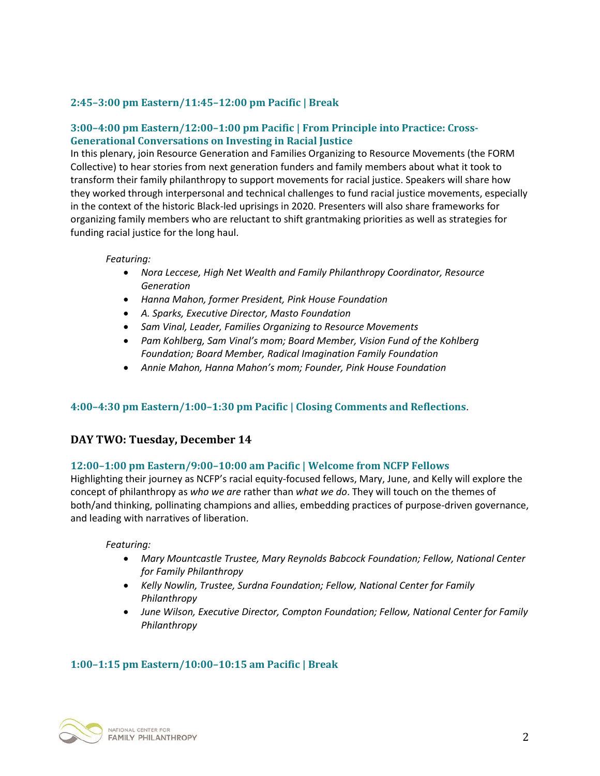# **2:45–3:00 pm Eastern/11:45–12:00 pm Pacific | Break**

# **3:00–4:00 pm Eastern/12:00–1:00 pm Pacific | From Principle into Practice: Cross-Generational Conversations on Investing in Racial Justice**

In this plenary, join Resource Generation and Families Organizing to Resource Movements (the FORM Collective) to hear stories from next generation funders and family members about what it took to transform their family philanthropy to support movements for racial justice. Speakers will share how they worked through interpersonal and technical challenges to fund racial justice movements, especially in the context of the historic Black-led uprisings in 2020. Presenters will also share frameworks for organizing family members who are reluctant to shift grantmaking priorities as well as strategies for funding racial justice for the long haul.

#### *Featuring:*

- *Nora Leccese, High Net Wealth and Family Philanthropy Coordinator, Resource Generation*
- *Hanna Mahon, former President, Pink House Foundation*
- *A. Sparks, Executive Director, Masto Foundation*
- *Sam Vinal, Leader, Families Organizing to Resource Movements*
- *Pam Kohlberg, Sam Vinal's mom; Board Member, Vision Fund of the Kohlberg Foundation; Board Member, Radical Imagination Family Foundation*
- *Annie Mahon, Hanna Mahon's mom; Founder, Pink House Foundation*

## **4:00–4:30 pm Eastern/1:00–1:30 pm Pacific | Closing Comments and Reflections**.

## **DAY TWO: Tuesday, December 14**

## **12:00–1:00 pm Eastern/9:00–10:00 am Pacific | Welcome from NCFP Fellows**

Highlighting their journey as NCFP's racial equity-focused fellows, Mary, June, and Kelly will explore the concept of philanthropy as *who we are* rather than *what we do*. They will touch on the themes of both/and thinking, pollinating champions and allies, embedding practices of purpose-driven governance, and leading with narratives of liberation.

#### *Featuring:*

- *Mary Mountcastle Trustee, Mary Reynolds Babcock Foundation; Fellow, National Center for Family Philanthropy*
- *Kelly Nowlin, Trustee, Surdna Foundation; Fellow, National Center for Family Philanthropy*
- *June Wilson, Executive Director, Compton Foundation; Fellow, National Center for Family Philanthropy*

## **1:00–1:15 pm Eastern/10:00–10:15 am Pacific | Break**

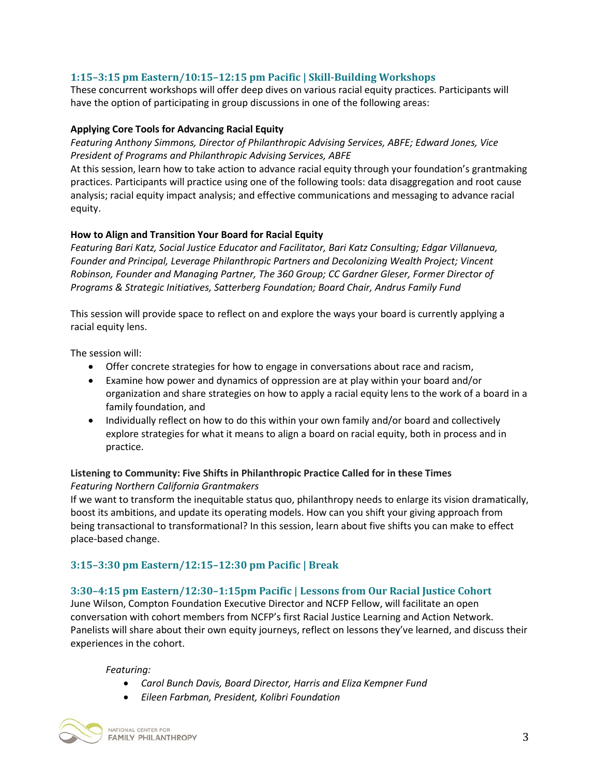# **1:15–3:15 pm Eastern/10:15–12:15 pm Pacific | Skill-Building Workshops**

These concurrent workshops will offer deep dives on various racial equity practices. Participants will have the option of participating in group discussions in one of the following areas:

#### **Applying Core Tools for Advancing Racial Equity**

*Featuring Anthony Simmons, Director of Philanthropic Advising Services, ABFE; Edward Jones, Vice President of Programs and Philanthropic Advising Services, ABFE*

At this session, learn how to take action to advance racial equity through your foundation's grantmaking practices. Participants will practice using one of the following tools: data disaggregation and root cause analysis; racial equity impact analysis; and effective communications and messaging to advance racial equity.

#### **How to Align and Transition Your Board for Racial Equity**

*Featuring Bari Katz, Social Justice Educator and Facilitator, Bari Katz Consulting; Edgar Villanueva, Founder and Principal, Leverage Philanthropic Partners and Decolonizing Wealth Project; Vincent Robinson, Founder and Managing Partner, The 360 Group; CC Gardner Gleser, Former Director of Programs & Strategic Initiatives, Satterberg Foundation; Board Chair, Andrus Family Fund*

This session will provide space to reflect on and explore the ways your board is currently applying a racial equity lens.

The session will:

- Offer concrete strategies for how to engage in conversations about race and racism,
- Examine how power and dynamics of oppression are at play within your board and/or organization and share strategies on how to apply a racial equity lens to the work of a board in a family foundation, and
- Individually reflect on how to do this within your own family and/or board and collectively explore strategies for what it means to align a board on racial equity, both in process and in practice.

#### **Listening to Community: Five Shifts in Philanthropic Practice Called for in these Times** *Featuring Northern California Grantmakers*

If we want to transform the inequitable status quo, philanthropy needs to enlarge its vision dramatically, boost its ambitions, and update its operating models. How can you shift your giving approach from being transactional to transformational? In this session, learn about five shifts you can make to effect place-based change.

## **3:15–3:30 pm Eastern/12:15–12:30 pm Pacific | Break**

## **3:30–4:15 pm Eastern/12:30–1:15pm Pacific | Lessons from Our Racial Justice Cohort**

June Wilson, Compton Foundation Executive Director and NCFP Fellow, will facilitate an open conversation with cohort members from NCFP's first Racial Justice Learning and Action Network. Panelists will share about their own equity journeys, reflect on lessons they've learned, and discuss their experiences in the cohort.

#### *Featuring:*

- *Carol Bunch Davis, Board Director, Harris and Eliza Kempner Fund*
- *Eileen Farbman, President, Kolibri Foundation*